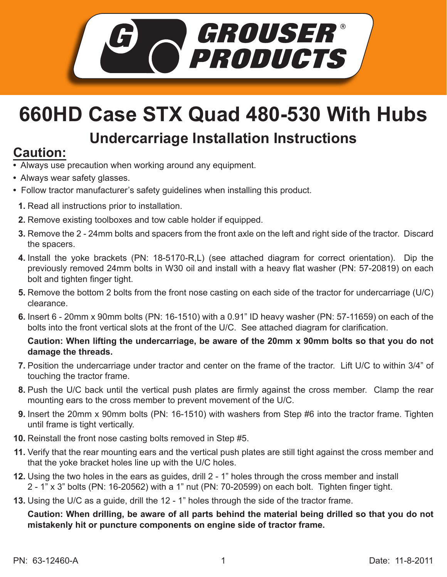

## **660HD Case STX Quad 480-530 With Hubs**

## **Undercarriage Installation Instructions**

## **Caution:**

- Always use precaution when working around any equipment.
- Always wear safety glasses.
- Follow tractor manufacturer's safety guidelines when installing this product.
	- **1.** Read all instructions prior to installation.
- **2.** Remove existing toolboxes and tow cable holder if equipped.
- **3.** Remove the 2 24mm bolts and spacers from the front axle on the left and right side of the tractor. Discard the spacers.
- **4.** Install the yoke brackets (PN: 18-5170-R,L) (see attached diagram for correct orientation). Dip the previously removed 24mm bolts in W30 oil and install with a heavy flat washer (PN: 57-20819) on each bolt and tighten finger tight.
- **5.** Remove the bottom 2 bolts from the front nose casting on each side of the tractor for undercarriage (U/C) clearance.
- **6.** Insert 6 20mm x 90mm bolts (PN: 16-1510) with a 0.91" ID heavy washer (PN: 57-11659) on each of the bolts into the front vertical slots at the front of the U/C. See attached diagram for clarification.

## **Caution: When lifting the undercarriage, be aware of the 20mm x 90mm bolts so that you do not damage the threads.**

- Position the undercarriage under tractor and center on the frame of the tractor. Lift U/C to within 3/4" of **7.** touching the tractor frame.
- **8.** Push the U/C back until the vertical push plates are firmly against the cross member. Clamp the rear mounting ears to the cross member to prevent movement of the U/C.
- **9.** Insert the 20mm x 90mm bolts (PN: 16-1510) with washers from Step #6 into the tractor frame. Tighten until frame is tight vertically.
- **10.** Reinstall the front nose casting bolts removed in Step #5.
- 11. Verify that the rear mounting ears and the vertical push plates are still tight against the cross member and that the yoke bracket holes line up with the U/C holes.
- **12.** Using the two holes in the ears as guides, drill 2 1" holes through the cross member and install 2 - 1" x 3" bolts (PN: 16-20562) with a 1" nut (PN: 70-20599) on each bolt. Tighten finger tight.
- **13.** Using the U/C as a guide, drill the 12 1" holes through the side of the tractor frame.

**Caution: When drilling, be aware of all parts behind the material being drilled so that you do not mistakenly hit or puncture components on engine side of tractor frame.**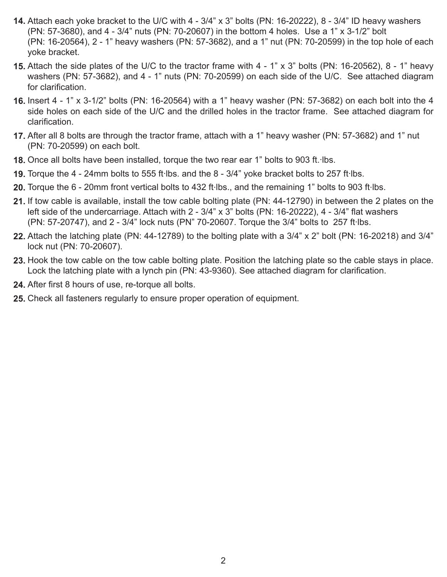- Attach each yoke bracket to the U/C with 4 3/4" x 3" bolts (PN: 16-20222), 8 3/4" ID heavy washers **14.** (PN: 57-3680), and 4 - 3/4" nuts (PN: 70-20607) in the bottom 4 holes. Use a 1" x 3-1/2" bolt (PN: 16-20564), 2 - 1" heavy washers (PN: 57-3682), and a 1" nut (PN: 70-20599) in the top hole of each yoke bracket.
- **15.** Attach the side plates of the U/C to the tractor frame with 4 1" x 3" bolts (PN: 16-20562), 8 1" heavy washers (PN: 57-3682), and 4 - 1" nuts (PN: 70-20599) on each side of the U/C. See attached diagram for clarification.
- **16.** Insert 4 1" x 3-1/2" bolts (PN: 16-20564) with a 1" heavy washer (PN: 57-3682) on each bolt into the 4 side holes on each side of the U/C and the drilled holes in the tractor frame. See attached diagram for clarification.
- After all 8 bolts are through the tractor frame, attach with a 1" heavy washer (PN: 57-3682) and 1" nut **17.** (PN: 70-20599) on each bolt.
- 18. Once all bolts have been installed, torque the two rear ear 1" bolts to 903 ft. Ibs.
- 19. Torque the 4 24mm bolts to 555 ft·lbs. and the 8 3/4" yoke bracket bolts to 257 ft·lbs.
- 20. Torque the 6 20mm front vertical bolts to 432 ft·lbs., and the remaining 1" bolts to 903 ft·lbs.
- 21. If tow cable is available, install the tow cable bolting plate (PN: 44-12790) in between the 2 plates on the left side of the undercarriage. Attach with 2 - 3/4" x 3" bolts (PN: 16-20222), 4 - 3/4" flat washers (PN: 57-20747), and 2 - 3/4" lock nuts (PN" 70-20607. Torque the 3/4" bolts to 257 ft Ibs.
- Attach the latching plate (PN: 44-12789) to the bolting plate with a 3/4" x 2" bolt (PN: 16-20218) and 3/4" **22.** lock nut (PN: 70-20607).
- 23. Hook the tow cable on the tow cable bolting plate. Position the latching plate so the cable stays in place. Lock the latching plate with a lynch pin (PN: 43-9360). See attached diagram for clarification.
- After first 8 hours of use, re-torque all bolts. **24.**
- **25.** Check all fasteners regularly to ensure proper operation of equipment.